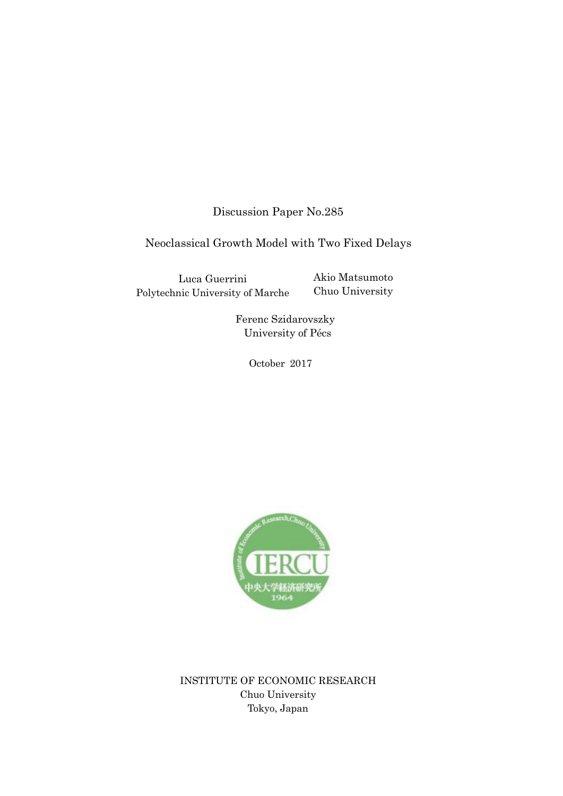Discussion Paper No.285

Neoclassical Growth Model with Two Fixed Delays

Luca Guerrini Polytechnic University of Marche Akio Matsumoto Chuo University

Ferenc Szidarovszky University of Pécs

October 2017



INSTITUTE OF ECONOMIC RESEARCH Chuo University Tokyo, Japan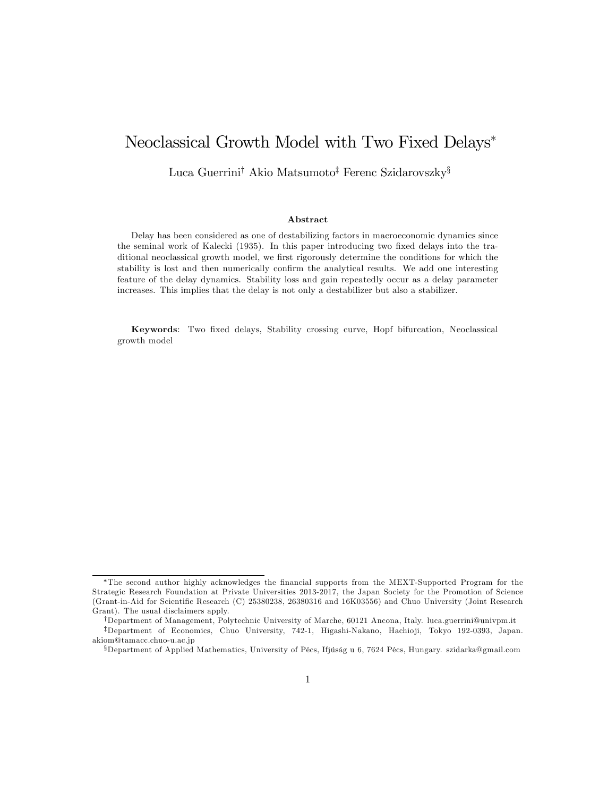# Neoclassical Growth Model with Two Fixed Delays

Luca Guerrini<sup>†</sup> Akio Matsumoto<sup>‡</sup> Ferenc Szidarovszky<sup>§</sup>

#### Abstract

Delay has been considered as one of destabilizing factors in macroeconomic dynamics since the seminal work of Kalecki (1935). In this paper introducing two fixed delays into the traditional neoclassical growth model, we first rigorously determine the conditions for which the stability is lost and then numerically confirm the analytical results. We add one interesting feature of the delay dynamics. Stability loss and gain repeatedly occur as a delay parameter increases. This implies that the delay is not only a destabilizer but also a stabilizer.

Keywords: Two Öxed delays, Stability crossing curve, Hopf bifurcation, Neoclassical growth model

<sup>\*</sup>The second author highly acknowledges the financial supports from the MEXT-Supported Program for the Strategic Research Foundation at Private Universities 2013-2017, the Japan Society for the Promotion of Science (Grant-in-Aid for Scientific Research (C) 25380238, 26380316 and 16K03556) and Chuo University (Joint Research Grant). The usual disclaimers apply.

<sup>&</sup>lt;sup>†</sup>Department of Management, Polytechnic University of Marche, 60121 Ancona, Italy. luca.guerrini@univpm.it <sup>‡</sup>Department of Economics, Chuo University, 742-1, Higashi-Nakano, Hachioji, Tokyo 192-0393, Japan. akiom@tamacc.chuo-u.ac.jp

<sup>&</sup>lt;sup>§</sup>Department of Applied Mathematics, University of Pécs, Ifjúság u 6, 7624 Pécs, Hungary. szidarka@gmail.com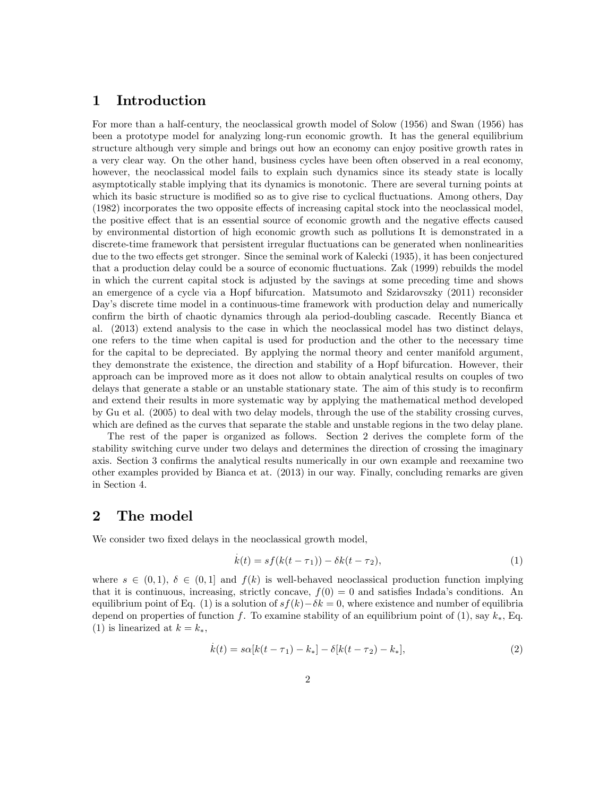#### 1 Introduction

For more than a half-century, the neoclassical growth model of Solow (1956) and Swan (1956) has been a prototype model for analyzing long-run economic growth. It has the general equilibrium structure although very simple and brings out how an economy can enjoy positive growth rates in a very clear way. On the other hand, business cycles have been often observed in a real economy, however, the neoclassical model fails to explain such dynamics since its steady state is locally asymptotically stable implying that its dynamics is monotonic. There are several turning points at which its basic structure is modified so as to give rise to cyclical fluctuations. Among others, Day  $(1982)$  incorporates the two opposite effects of increasing capital stock into the neoclassical model, the positive effect that is an essential source of economic growth and the negative effects caused by environmental distortion of high economic growth such as pollutions It is demonstrated in a discrete-time framework that persistent irregular fluctuations can be generated when nonlinearities due to the two effects get stronger. Since the seminal work of Kalecki (1935), it has been conjectured that a production delay could be a source of economic fluctuations. Zak (1999) rebuilds the model in which the current capital stock is adjusted by the savings at some preceding time and shows an emergence of a cycle via a Hopf bifurcation. Matsumoto and Szidarovszky (2011) reconsider Day's discrete time model in a continuous-time framework with production delay and numerically confirm the birth of chaotic dynamics through ala period-doubling cascade. Recently Bianca et al. (2013) extend analysis to the case in which the neoclassical model has two distinct delays, one refers to the time when capital is used for production and the other to the necessary time for the capital to be depreciated. By applying the normal theory and center manifold argument, they demonstrate the existence, the direction and stability of a Hopf bifurcation. However, their approach can be improved more as it does not allow to obtain analytical results on couples of two delays that generate a stable or an unstable stationary state. The aim of this study is to reconfirm and extend their results in more systematic way by applying the mathematical method developed by Gu et al. (2005) to deal with two delay models, through the use of the stability crossing curves, which are defined as the curves that separate the stable and unstable regions in the two delay plane.

The rest of the paper is organized as follows. Section 2 derives the complete form of the stability switching curve under two delays and determines the direction of crossing the imaginary axis. Section 3 confirms the analytical results numerically in our own example and reexamine two other examples provided by Bianca et at. (2013) in our way. Finally, concluding remarks are given in Section 4.

### 2 The model

We consider two fixed delays in the neoclassical growth model,

$$
\dot{k}(t) = sf(k(t - \tau_1)) - \delta k(t - \tau_2),\tag{1}
$$

where  $s \in (0, 1), \delta \in (0, 1]$  and  $f(k)$  is well-behaved neoclassical production function implying that it is continuous, increasing, strictly concave,  $f(0) = 0$  and satisfies Indada's conditions. An equilibrium point of Eq. (1) is a solution of  $s f(k) - \delta k = 0$ , where existence and number of equilibria depend on properties of function f. To examine stability of an equilibrium point of (1), say  $k_*$ , Eq. (1) is linearized at  $k = k_*$ ,

$$
\dot{k}(t) = s\alpha[k(t-\tau_1) - k_*] - \delta[k(t-\tau_2) - k_*],
$$
\n(2)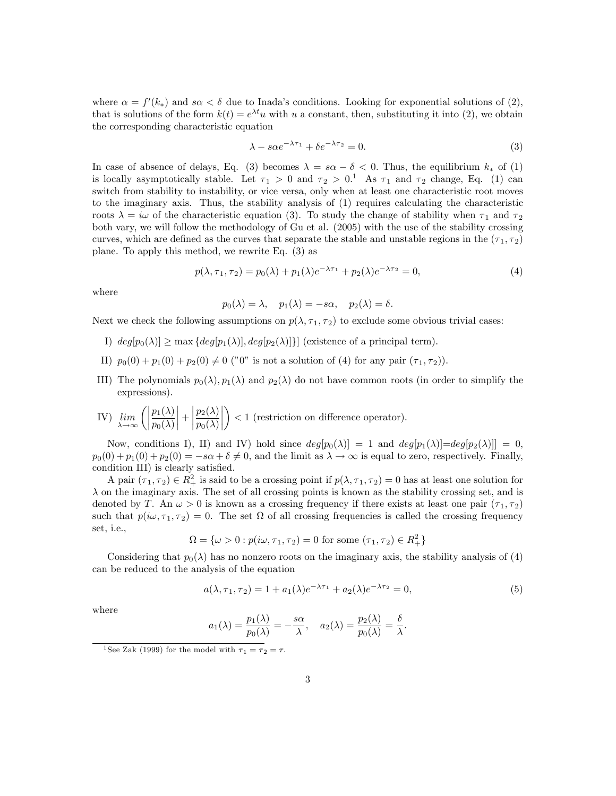where  $\alpha = f'(k_*)$  and  $s\alpha < \delta$  due to Inada's conditions. Looking for exponential solutions of (2), that is solutions of the form  $k(t) = e^{\lambda t}u$  with u a constant, then, substituting it into (2), we obtain the corresponding characteristic equation

$$
\lambda - s\alpha e^{-\lambda \tau_1} + \delta e^{-\lambda \tau_2} = 0. \tag{3}
$$

In case of absence of delays, Eq. (3) becomes  $\lambda = s\alpha - \delta < 0$ . Thus, the equilibrium  $k_*$  of (1) is locally asymptotically stable. Let  $\tau_1 > 0$  and  $\tau_2 > 0.$ <sup>1</sup> As  $\tau_1$  and  $\tau_2$  change, Eq. (1) can switch from stability to instability, or vice versa, only when at least one characteristic root moves to the imaginary axis. Thus, the stability analysis of (1) requires calculating the characteristic roots  $\lambda = i\omega$  of the characteristic equation (3). To study the change of stability when  $\tau_1$  and  $\tau_2$ both vary, we will follow the methodology of Gu et al. (2005) with the use of the stability crossing curves, which are defined as the curves that separate the stable and unstable regions in the  $(\tau_1, \tau_2)$ plane. To apply this method, we rewrite Eq. (3) as

$$
p(\lambda, \tau_1, \tau_2) = p_0(\lambda) + p_1(\lambda)e^{-\lambda \tau_1} + p_2(\lambda)e^{-\lambda \tau_2} = 0,
$$
\n(4)

where

 $p_0(\lambda) = \lambda$ ,  $p_1(\lambda) = -s\alpha$ ,  $p_2(\lambda) = \delta$ .

Next we check the following assumptions on  $p(\lambda, \tau_1, \tau_2)$  to exclude some obvious trivial cases:

- I)  $deg[p_0(\lambda)] \ge \max \{deg[p_1(\lambda)], deg[p_2(\lambda)]\}$  (existence of a principal term).
- II)  $p_0(0) + p_1(0) + p_2(0) \neq 0$  ("0" is not a solution of (4) for any pair  $(\tau_1, \tau_2)$ ).
- III) The polynomials  $p_0(\lambda), p_1(\lambda)$  and  $p_2(\lambda)$  do not have common roots (in order to simplify the expressions).
- IV) lim  $\lim_{\lambda\to\infty}\bigg(\bigg|$  $p_1(\lambda)$  $p_0(\lambda)$  +  $\begin{array}{|c|c|} \hline \multicolumn{1}{|c|}{3} & \multicolumn{1}{|c|}{4} \multicolumn{1}{|c|}{5} \multicolumn{1}{|c|}{6} \multicolumn{1}{|c|}{6} \multicolumn{1}{|c|}{6} \multicolumn{1}{|c|}{6} \multicolumn{1}{|c|}{6} \multicolumn{1}{|c|}{6} \multicolumn{1}{|c|}{6} \multicolumn{1}{|c|}{6} \multicolumn{1}{|c|}{6} \multicolumn{1}{|c|}{6} \multicolumn{1}{|c|}{6} \multicolumn{1}{|c|}{6} \multicolumn{1}{|c|$  $p_2(\lambda)$  $p_0(\lambda)$   $\setminus$  $<$  1 (restriction on difference operator).

Now, conditions I), II) and IV) hold since  $deg[p_0(\lambda)] = 1$  and  $deg[p_1(\lambda)] = deg[p_2(\lambda)]] = 0$ ,  $p_0(0) + p_1(0) + p_2(0) = -s\alpha + \delta \neq 0$ , and the limit as  $\lambda \to \infty$  is equal to zero, respectively. Finally, condition III) is clearly satisfied.

A pair  $(\tau_1, \tau_2) \in R_+^2$  is said to be a crossing point if  $p(\lambda, \tau_1, \tau_2) = 0$  has at least one solution for  $\lambda$  on the imaginary axis. The set of all crossing points is known as the stability crossing set, and is denoted by T. An  $\omega > 0$  is known as a crossing frequency if there exists at least one pair  $(\tau_1, \tau_2)$ such that  $p(i\omega, \tau_1, \tau_2) = 0$ . The set  $\Omega$  of all crossing frequencies is called the crossing frequency set, i.e.,

$$
\Omega = \{ \omega > 0 : p(i\omega, \tau_1, \tau_2) = 0 \text{ for some } (\tau_1, \tau_2) \in R_+^2 \}
$$

Considering that  $p_0(\lambda)$  has no nonzero roots on the imaginary axis, the stability analysis of (4) can be reduced to the analysis of the equation

$$
a(\lambda, \tau_1, \tau_2) = 1 + a_1(\lambda)e^{-\lambda \tau_1} + a_2(\lambda)e^{-\lambda \tau_2} = 0,
$$
\n(5)

where

$$
a_1(\lambda) = \frac{p_1(\lambda)}{p_0(\lambda)} = -\frac{s\alpha}{\lambda}, \quad a_2(\lambda) = \frac{p_2(\lambda)}{p_0(\lambda)} = \frac{\delta}{\lambda}.
$$

<sup>&</sup>lt;sup>1</sup>See Zak (1999) for the model with  $\tau_1 = \tau_2 = \tau$ .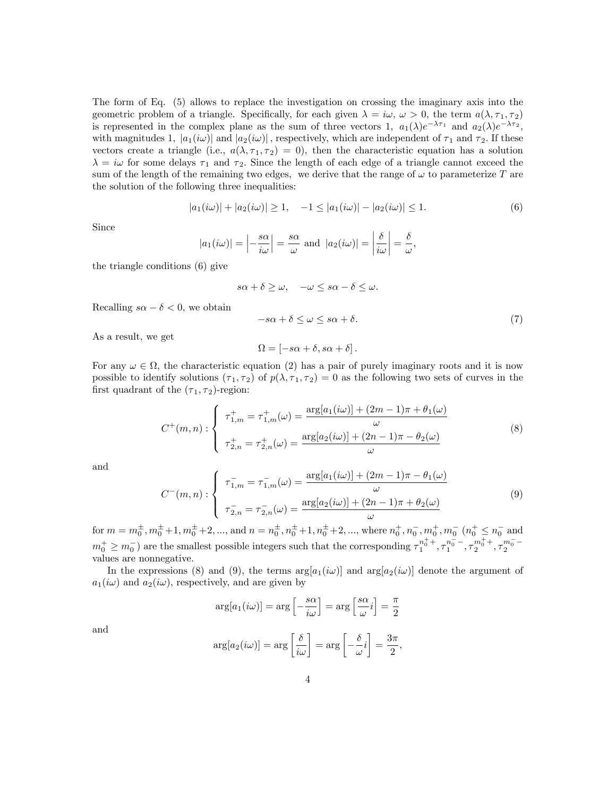The form of Eq. (5) allows to replace the investigation on crossing the imaginary axis into the geometric problem of a triangle. Specifically, for each given  $\lambda = i\omega, \omega > 0$ , the term  $a(\lambda, \tau_1, \tau_2)$ is represented in the complex plane as the sum of three vectors 1,  $a_1(\lambda)e^{-\lambda \tau_1}$  and  $a_2(\lambda)e^{-\lambda \tau_2}$ , with magnitudes 1,  $|a_1(i\omega)|$  and  $|a_2(i\omega)|$ , respectively, which are independent of  $\tau_1$  and  $\tau_2$ . If these vectors create a triangle (i.e.,  $a(\lambda, \tau_1, \tau_2) = 0$ ), then the characteristic equation has a solution  $\lambda = i\omega$  for some delays  $\tau_1$  and  $\tau_2$ . Since the length of each edge of a triangle cannot exceed the sum of the length of the remaining two edges, we derive that the range of  $\omega$  to parameterize T are the solution of the following three inequalities:

$$
|a_1(i\omega)| + |a_2(i\omega)| \ge 1, \quad -1 \le |a_1(i\omega)| - |a_2(i\omega)| \le 1.
$$
 (6)

Since

$$
|a_1(i\omega)| = \left| -\frac{s\alpha}{i\omega} \right| = \frac{s\alpha}{\omega}
$$
 and  $|a_2(i\omega)| = \left| \frac{\delta}{i\omega} \right| = \frac{\delta}{\omega}$ ,

the triangle conditions (6) give

$$
s\alpha + \delta \ge \omega, \quad -\omega \le s\alpha - \delta \le \omega.
$$

Recalling  $s\alpha - \delta < 0$ , we obtain

$$
-s\alpha + \delta \le \omega \le s\alpha + \delta. \tag{7}
$$

As a result, we get

$$
\Omega = [-s\alpha + \delta, s\alpha + \delta].
$$

For any  $\omega \in \Omega$ , the characteristic equation (2) has a pair of purely imaginary roots and it is now possible to identify solutions  $(\tau_1, \tau_2)$  of  $p(\lambda, \tau_1, \tau_2) = 0$  as the following two sets of curves in the first quadrant of the  $(\tau_1, \tau_2)$ -region:

$$
C^{+}(m, n) : \begin{cases} \tau_{1,m}^{+} = \tau_{1,m}^{+}(\omega) = \frac{\arg[a_{1}(i\omega)] + (2m - 1)\pi + \theta_{1}(\omega)}{\omega} \\ \tau_{2,n}^{+} = \tau_{2,n}^{+}(\omega) = \frac{\arg[a_{2}(i\omega)] + (2n - 1)\pi - \theta_{2}(\omega)}{\omega} \end{cases}
$$
(8)

and

$$
C^{-}(m,n): \begin{cases} \tau_{1,m}^{-} = \tau_{1,m}^{-}(\omega) = \frac{\arg[a_1(i\omega)] + (2m-1)\pi - \theta_1(\omega)}{\omega} \\ \tau_{2,n}^{-} = \tau_{2,n}^{-}(\omega) = \frac{\arg[a_2(i\omega)] + (2n-1)\pi + \theta_2(\omega)}{\omega} \end{cases}
$$
(9)

for  $m = m_0^{\pm}, m_0^{\pm}+1, m_0^{\pm}+2, ...,$  and  $n = n_0^{\pm}, n_0^{\pm}+1, n_0^{\pm}+2, ...,$  where  $n_0^+, n_0^-, m_0^+, m_0^-, (n_0^+ \le n_0^-)$  and  $m_0^+ \geq m_0^-$  are the smallest possible integers such that the corresponding  $\tau_1^{n_0^+ +}$ ,  $\tau_1^{n_0^- -}$ ,  $\tau_2^{m_0^+ +}$ ,  $\tau_2^{m_0^- -}$ values are nonnegative.

In the expressions (8) and (9), the terms  $arg[a_1(i\omega)]$  and  $arg[a_2(i\omega)]$  denote the argument of  $a_1(i\omega)$  and  $a_2(i\omega)$ , respectively, and are given by

$$
\arg[a_1(i\omega)] = \arg\left[-\frac{s\alpha}{i\omega}\right] = \arg\left[\frac{s\alpha}{\omega}i\right] = \frac{\pi}{2}
$$

and

$$
\arg[a_2(i\omega)] = \arg\left[\frac{\delta}{i\omega}\right] = \arg\left[-\frac{\delta}{\omega}i\right] = \frac{3\pi}{2},
$$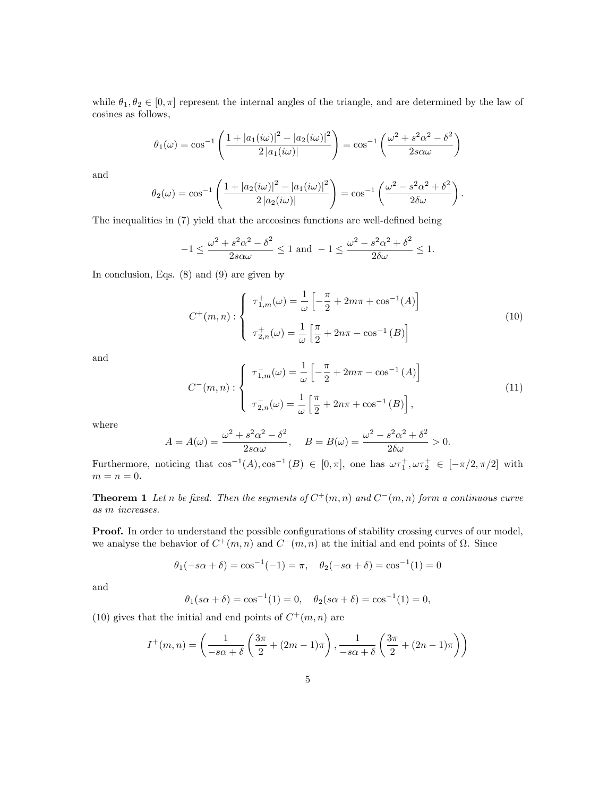while  $\theta_1, \theta_2 \in [0, \pi]$  represent the internal angles of the triangle, and are determined by the law of cosines as follows,

$$
\theta_1(\omega) = \cos^{-1}\left(\frac{1 + |a_1(i\omega)|^2 - |a_2(i\omega)|^2}{2|a_1(i\omega)|}\right) = \cos^{-1}\left(\frac{\omega^2 + s^2\alpha^2 - \delta^2}{2s\alpha\omega}\right)
$$

and

$$
\theta_2(\omega) = \cos^{-1}\left(\frac{1 + |a_2(i\omega)|^2 - |a_1(i\omega)|^2}{2 |a_2(i\omega)|}\right) = \cos^{-1}\left(\frac{\omega^2 - s^2\alpha^2 + \delta^2}{2\delta\omega}\right).
$$

The inequalities in  $(7)$  yield that the arccosines functions are well-defined being

$$
-1 \le \frac{\omega^2 + s^2 \alpha^2 - \delta^2}{2s \alpha \omega} \le 1 \text{ and } -1 \le \frac{\omega^2 - s^2 \alpha^2 + \delta^2}{2\delta \omega} \le 1.
$$

In conclusion, Eqs. (8) and (9) are given by

$$
C^{+}(m, n) : \begin{cases} \tau_{1,m}^{+}(\omega) = \frac{1}{\omega} \left[ -\frac{\pi}{2} + 2m\pi + \cos^{-1}(A) \right] \\ \tau_{2,n}^{+}(\omega) = \frac{1}{\omega} \left[ \frac{\pi}{2} + 2n\pi - \cos^{-1}(B) \right] \end{cases}
$$
(10)

and

$$
C^{-}(m,n): \begin{cases} \tau_{1,m}^{-}(\omega) = \frac{1}{\omega} \left[ -\frac{\pi}{2} + 2m\pi - \cos^{-1}(A) \right] \\ \tau_{2,n}^{-}(\omega) = \frac{1}{\omega} \left[ \frac{\pi}{2} + 2n\pi + \cos^{-1}(B) \right], \end{cases}
$$
(11)

where

$$
A = A(\omega) = \frac{\omega^2 + s^2 \alpha^2 - \delta^2}{2s\alpha\omega}, \quad B = B(\omega) = \frac{\omega^2 - s^2 \alpha^2 + \delta^2}{2\delta\omega} > 0.
$$

Furthermore, noticing that  $\cos^{-1}(A), \cos^{-1}(B) \in [0, \pi]$ , one has  $\omega \tau_1^+, \omega \tau_2^+ \in [-\pi/2, \pi/2]$  with  $m = n = 0.$ 

**Theorem 1** Let n be fixed. Then the segments of  $C^+(m,n)$  and  $C^-(m,n)$  form a continuous curve as m increases.

**Proof.** In order to understand the possible configurations of stability crossing curves of our model, we analyse the behavior of  $C^+(m,n)$  and  $C^-(m,n)$  at the initial and end points of  $\Omega$ . Since

$$
\theta_1(-s\alpha + \delta) = \cos^{-1}(-1) = \pi
$$
,  $\theta_2(-s\alpha + \delta) = \cos^{-1}(1) = 0$ 

and

$$
\theta_1(s\alpha + \delta) = \cos^{-1}(1) = 0, \quad \theta_2(s\alpha + \delta) = \cos^{-1}(1) = 0,
$$

(10) gives that the initial and end points of  $C^+(m,n)$  are

$$
I^+(m,n) = \left(\frac{1}{-s\alpha+\delta}\left(\frac{3\pi}{2} + (2m-1)\pi\right), \frac{1}{-s\alpha+\delta}\left(\frac{3\pi}{2} + (2n-1)\pi\right)\right)
$$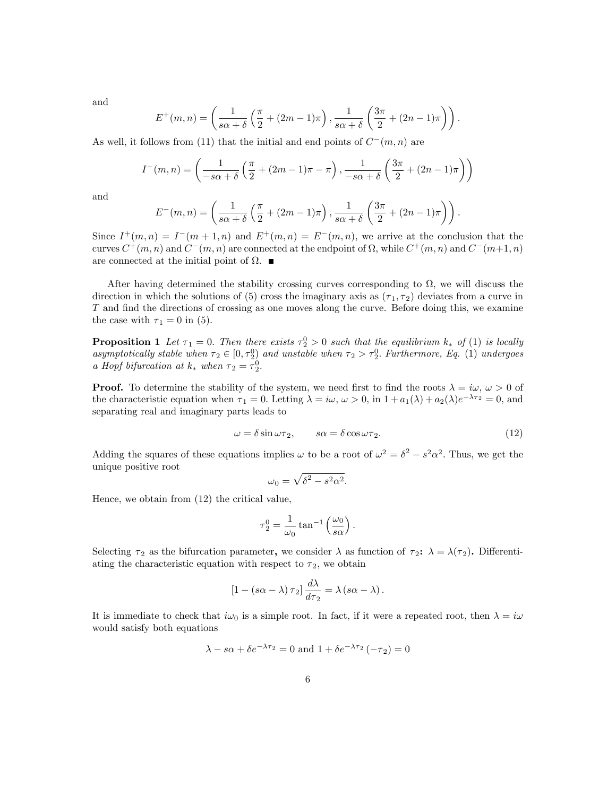and

$$
E^+(m,n) = \left(\frac{1}{s\alpha+\delta}\left(\frac{\pi}{2}+(2m-1)\pi\right), \frac{1}{s\alpha+\delta}\left(\frac{3\pi}{2}+(2n-1)\pi\right)\right).
$$

As well, it follows from (11) that the initial and end points of  $C^-(m,n)$  are

$$
I^{-}(m,n) = \left(\frac{1}{-s\alpha+\delta}\left(\frac{\pi}{2}+(2m-1)\pi-\pi\right), \frac{1}{-s\alpha+\delta}\left(\frac{3\pi}{2}+(2n-1)\pi\right)\right)
$$

and

$$
E^-(m,n) = \left(\frac{1}{s\alpha+\delta}\left(\frac{\pi}{2}+(2m-1)\pi\right), \frac{1}{s\alpha+\delta}\left(\frac{3\pi}{2}+(2n-1)\pi\right)\right).
$$

Since  $I^+(m,n) = I^-(m+1,n)$  and  $E^+(m,n) = E^-(m,n)$ , we arrive at the conclusion that the curves  $C^+(m,n)$  and  $C^-(m,n)$  are connected at the endpoint of  $\Omega$ , while  $C^+(m,n)$  and  $C^-(m+1,n)$ are connected at the initial point of  $\Omega$ .

After having determined the stability crossing curves corresponding to  $\Omega$ , we will discuss the direction in which the solutions of (5) cross the imaginary axis as  $(\tau_1, \tau_2)$  deviates from a curve in  $T$  and find the directions of crossing as one moves along the curve. Before doing this, we examine the case with  $\tau_1 = 0$  in (5).

**Proposition 1** Let  $\tau_1 = 0$ . Then there exists  $\tau_2^0 > 0$  such that the equilibrium  $k_*$  of (1) is locally asymptotically stable when  $\tau_2 \in [0, \tau_2^0]$  and unstable when  $\tau_2 > \tau_2^0$ . Furthermore, Eq. (1) undergoes a Hopf bifurcation at  $k_*$  when  $\tau_2 = \tau_2^0$ .

**Proof.** To determine the stability of the system, we need first to find the roots  $\lambda = i\omega, \omega > 0$  of the characteristic equation when  $\tau_1 = 0$ . Letting  $\lambda = i\omega, \omega > 0$ , in  $1 + a_1(\lambda) + a_2(\lambda)e^{-\lambda \tau_2} = 0$ , and separating real and imaginary parts leads to

$$
\omega = \delta \sin \omega \tau_2, \qquad s\alpha = \delta \cos \omega \tau_2. \tag{12}
$$

Adding the squares of these equations implies  $\omega$  to be a root of  $\omega^2 = \delta^2 - s^2 \alpha^2$ . Thus, we get the unique positive root

$$
\omega_0 = \sqrt{\delta^2 - s^2 \alpha^2}.
$$

Hence, we obtain from (12) the critical value,

$$
\tau_2^0 = \frac{1}{\omega_0} \tan^{-1} \left( \frac{\omega_0}{s \alpha} \right).
$$

Selecting  $\tau_2$  as the bifurcation parameter, we consider  $\lambda$  as function of  $\tau_2$ :  $\lambda = \lambda(\tau_2)$ . Differentiating the characteristic equation with respect to  $\tau_2$ , we obtain

$$
\left[1 - \left(s\alpha - \lambda\right)\tau_2\right] \frac{d\lambda}{d\tau_2} = \lambda \left(s\alpha - \lambda\right).
$$

It is immediate to check that  $i\omega_0$  is a simple root. In fact, if it were a repeated root, then  $\lambda = i\omega$ would satisfy both equations

$$
\lambda - s\alpha + \delta e^{-\lambda \tau_2} = 0 \text{ and } 1 + \delta e^{-\lambda \tau_2} (-\tau_2) = 0
$$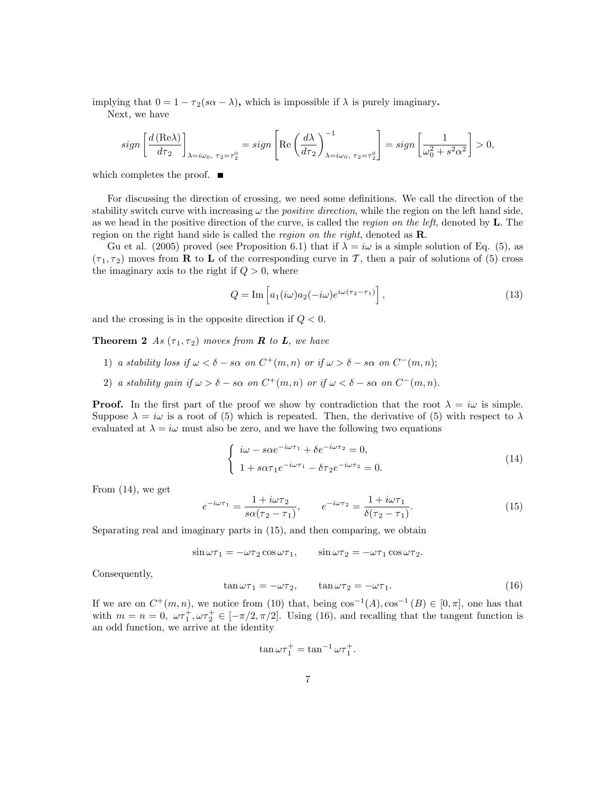implying that  $0 = 1 - \tau_2(s\alpha - \lambda)$ , which is impossible if  $\lambda$  is purely imaginary.

Next, we have

$$
sign\left[\frac{d\left(\text{Re}\lambda\right)}{d\tau_2}\right]_{\lambda=i\omega_0, \ \tau_2=\tau_2^0}=sign\left[\text{Re}\left(\frac{d\lambda}{d\tau_2}\right)^{-1}_{\lambda=i\omega_0, \ \tau_2=\tau_2^0}\right]=sign\left[\frac{1}{\omega_0^2+s^2\alpha^2}\right]>0,
$$

which completes the proof.  $\blacksquare$ 

For discussing the direction of crossing, we need some definitions. We call the direction of the stability switch curve with increasing  $\omega$  the *positive direction*, while the region on the left hand side, as we head in the positive direction of the curve, is called the region on the left, denoted by  $L$ . The region on the right hand side is called the region on the right, denoted as R.

Gu et al. (2005) proved (see Proposition 6.1) that if  $\lambda = i\omega$  is a simple solution of Eq. (5), as  $(\tau_1, \tau_2)$  moves from **R** to **L** of the corresponding curve in T, then a pair of solutions of (5) cross the imaginary axis to the right if  $Q > 0$ , where

$$
Q = \text{Im}\left[a_1(i\omega)a_2(-i\omega)e^{i\omega(\tau_2 - \tau_1)}\right],\tag{13}
$$

and the crossing is in the opposite direction if  $Q < 0$ .

**Theorem 2** As  $(\tau_1, \tau_2)$  moves from **R** to **L**, we have

- 1) a stability loss if  $\omega < \delta s\alpha$  on  $C^+(m, n)$  or if  $\omega > \delta s\alpha$  on  $C^-(m, n)$ ;
- 2) a stability gain if  $\omega > \delta s\alpha$  on  $C^+(m,n)$  or if  $\omega < \delta s\alpha$  on  $C^-(m,n)$ .

**Proof.** In the first part of the proof we show by contradiction that the root  $\lambda = i\omega$  is simple. Suppose  $\lambda = i\omega$  is a root of (5) which is repeated. Then, the derivative of (5) with respect to  $\lambda$ evaluated at  $\lambda = i\omega$  must also be zero, and we have the following two equations

$$
\begin{cases}\n i\omega - s\alpha e^{-i\omega \tau_1} + \delta e^{-i\omega \tau_2} = 0, \\
1 + s\alpha \tau_1 e^{-i\omega \tau_1} - \delta \tau_2 e^{-i\omega \tau_2} = 0.\n\end{cases}
$$
\n(14)

From (14), we get

$$
e^{-i\omega\tau_1} = \frac{1+i\omega\tau_2}{s\alpha(\tau_2-\tau_1)}, \qquad e^{-i\omega\tau_2} = \frac{1+i\omega\tau_1}{\delta(\tau_2-\tau_1)}.
$$
(15)

Separating real and imaginary parts in (15), and then comparing, we obtain

$$
\sin \omega \tau_1 = -\omega \tau_2 \cos \omega \tau_1, \qquad \sin \omega \tau_2 = -\omega \tau_1 \cos \omega \tau_2.
$$

Consequently,

$$
\tan \omega \tau_1 = -\omega \tau_2, \qquad \tan \omega \tau_2 = -\omega \tau_1. \tag{16}
$$

If we are on  $C^+(m,n)$ , we notice from (10) that, being  $\cos^{-1}(A), \cos^{-1}(B) \in [0, \pi]$ , one has that with  $m = n = 0$ ,  $\omega \tau_1^+$ ,  $\omega \tau_2^+ \in [-\pi/2, \pi/2]$ . Using (16), and recalling that the tangent function is an odd function, we arrive at the identity

$$
\tan \omega \tau_1^+ = \tan^{-1} \omega \tau_1^+.
$$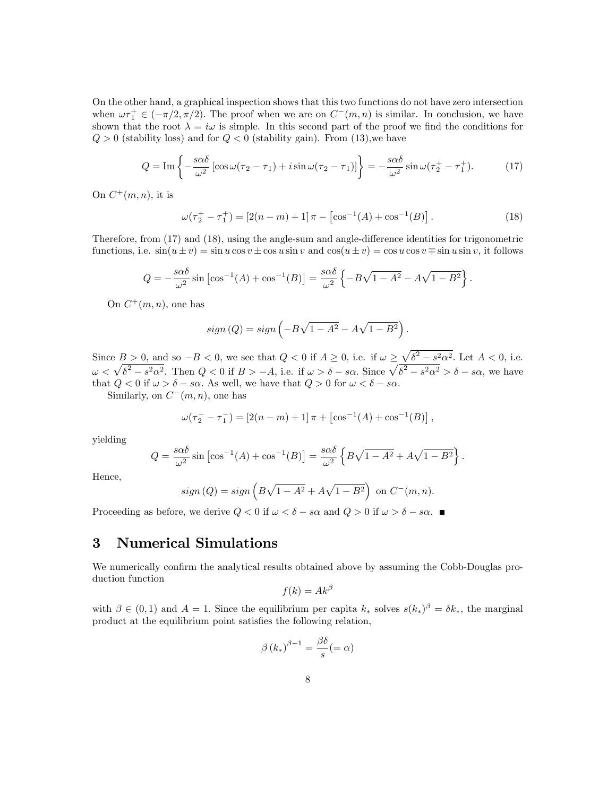On the other hand, a graphical inspection shows that this two functions do not have zero intersection when  $\omega \tau_1^+ \in (-\pi/2, \pi/2)$ . The proof when we are on  $C^-(m, n)$  is similar. In conclusion, we have shown that the root  $\lambda = i\omega$  is simple. In this second part of the proof we find the conditions for  $Q > 0$  (stability loss) and for  $Q < 0$  (stability gain). From (13), we have

$$
Q = \operatorname{Im} \left\{ -\frac{s\alpha\delta}{\omega^2} \left[ \cos\omega(\tau_2 - \tau_1) + i \sin\omega(\tau_2 - \tau_1) \right] \right\} = -\frac{s\alpha\delta}{\omega^2} \sin\omega(\tau_2^+ - \tau_1^+). \tag{17}
$$

On  $C^+(m,n)$ , it is

$$
\omega(\tau_2^+ - \tau_1^+) = [2(n-m) + 1]\pi - [\cos^{-1}(A) + \cos^{-1}(B)].
$$
\n(18)

.

Therefore, from  $(17)$  and  $(18)$ , using the angle-sum and angle-difference identities for trigonometric functions, i.e.  $\sin(u \pm v) = \sin u \cos v \pm \cos u \sin v$  and  $\cos(u \pm v) = \cos u \cos v \mp \sin u \sin v$ , it follows

$$
Q = -\frac{s\alpha\delta}{\omega^2}\sin\left[\cos^{-1}(A) + \cos^{-1}(B)\right] = \frac{s\alpha\delta}{\omega^2}\left\{-B\sqrt{1 - A^2} - A\sqrt{1 - B^2}\right\}.
$$

On  $C^+(m,n)$ , one has

$$
sign(Q) = sign\left(-B\sqrt{1-A^2} - A\sqrt{1-B^2}\right)
$$

Since  $B > 0$ , and so  $-B < 0$ , we see that  $Q < 0$  if  $A \ge 0$ , i.e. if  $\omega \ge \sqrt{\delta^2 - s^2 \alpha^2}$ . Let  $A < 0$ , i.e.  $\omega < \sqrt{\delta^2 - s^2 \alpha^2}$ . Then  $Q < 0$  if  $B > -A$ , i.e. if  $\omega > \delta - s\alpha$ . Since  $\sqrt{\delta^2 - s^2 \alpha^2} > \delta - s\alpha$ , we have that  $Q < 0$  if  $\omega > \delta - s\alpha$ . As well, we have that  $Q > 0$  for  $\omega < \delta - s\alpha$ .

Similarly, on  $C^-(m,n)$ , one has

$$
\omega(\tau_2^- - \tau_1^-) = [2(n-m) + 1]\pi + [\cos^{-1}(A) + \cos^{-1}(B)],
$$

yielding

$$
Q = \frac{s\alpha\delta}{\omega^2} \sin\left[\cos^{-1}(A) + \cos^{-1}(B)\right] = \frac{s\alpha\delta}{\omega^2} \left\{ B\sqrt{1 - A^2} + A\sqrt{1 - B^2} \right\}.
$$

Hence,

$$
sign(Q) = sign\left(B\sqrt{1-A^2} + A\sqrt{1-B^2}\right)
$$
 on  $C^-(m, n)$ .

Proceeding as before, we derive  $Q < 0$  if  $\omega < \delta - s\alpha$  and  $Q > 0$  if  $\omega > \delta - s\alpha$ .

#### 3 Numerical Simulations

We numerically confirm the analytical results obtained above by assuming the Cobb-Douglas production function

$$
f(k)=Ak^{\beta}
$$

with  $\beta \in (0,1)$  and  $A=1$ . Since the equilibrium per capita  $k_*$  solves  $s(k_*)^{\beta} = \delta k_*$ , the marginal product at the equilibrium point satisfies the following relation,

$$
\beta (k_*)^{\beta - 1} = \frac{\beta \delta}{s} (= \alpha)
$$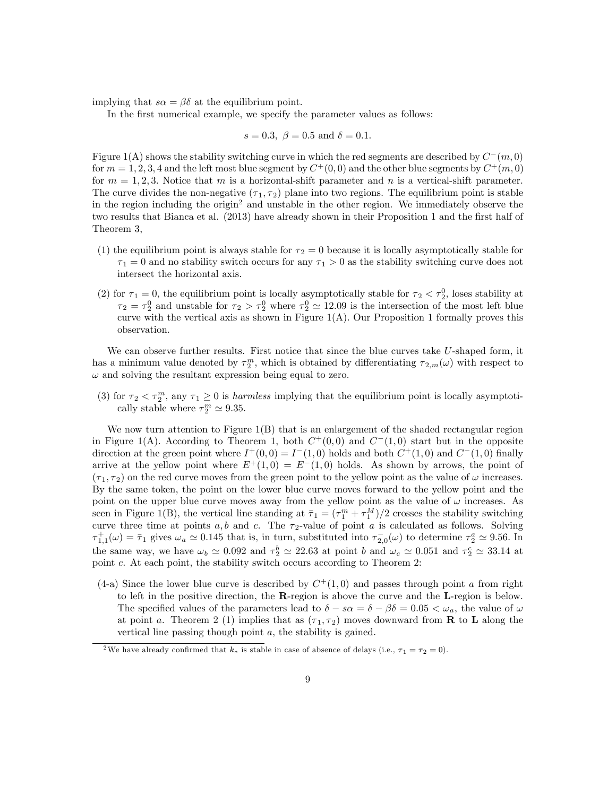implying that  $s\alpha = \beta\delta$  at the equilibrium point.

In the first numerical example, we specify the parameter values as follows:

$$
s = 0.3
$$
,  $\beta = 0.5$  and  $\delta = 0.1$ .

Figure 1(A) shows the stability switching curve in which the red segments are described by  $C^-(m,0)$ for  $m = 1, 2, 3, 4$  and the left most blue segment by  $C^+(0,0)$  and the other blue segments by  $C^+(m,0)$ for  $m = 1, 2, 3$ . Notice that m is a horizontal-shift parameter and n is a vertical-shift parameter. The curve divides the non-negative  $(\tau_1, \tau_2)$  plane into two regions. The equilibrium point is stable in the region including the origin<sup>2</sup> and unstable in the other region. We immediately observe the two results that Bianca et al. (2013) have already shown in their Proposition 1 and the first half of Theorem 3,

- (1) the equilibrium point is always stable for  $\tau_2 = 0$  because it is locally asymptotically stable for  $\tau_1 = 0$  and no stability switch occurs for any  $\tau_1 > 0$  as the stability switching curve does not intersect the horizontal axis.
- (2) for  $\tau_1 = 0$ , the equilibrium point is locally asymptotically stable for  $\tau_2 < \tau_2^0$ , loses stability at  $\tau_2 = \tau_2^0$  and unstable for  $\tau_2 > \tau_2^0$  where  $\tau_2^0 \simeq 12.09$  is the intersection of the most left blue curve with the vertical axis as shown in Figure  $1(A)$ . Our Proposition 1 formally proves this observation.

We can observe further results. First notice that since the blue curves take U-shaped form, it has a minimum value denoted by  $\tau_2^m$ , which is obtained by differentiating  $\tau_{2,m}(\omega)$  with respect to  $\omega$  and solving the resultant expression being equal to zero.

(3) for  $\tau_2 < \tau_2^m$ , any  $\tau_1 \geq 0$  is *harmless* implying that the equilibrium point is locally asymptotically stable where  $\tau_2^m \simeq 9.35$ .

We now turn attention to Figure  $1(B)$  that is an enlargement of the shaded rectangular region in Figure 1(A). According to Theorem 1, both  $C^+(0,0)$  and  $C^-(1,0)$  start but in the opposite direction at the green point where  $I^+(0,0) = I^-(1,0)$  holds and both  $C^+(1,0)$  and  $C^-(1,0)$  finally arrive at the yellow point where  $E^+(1,0) = E^-(1,0)$  holds. As shown by arrows, the point of  $(\tau_1, \tau_2)$  on the red curve moves from the green point to the yellow point as the value of  $\omega$  increases. By the same token, the point on the lower blue curve moves forward to the yellow point and the point on the upper blue curve moves away from the yellow point as the value of  $\omega$  increases. As seen in Figure 1(B), the vertical line standing at  $\bar{\tau}_1 = (\tau_1^m + \tau_1^M)/2$  crosses the stability switching curve three time at points  $a, b$  and  $c$ . The  $\tau_2$ -value of point  $a$  is calculated as follows. Solving  $\tau_{1,1}^+(\omega) = \bar{\tau}_1$  gives  $\omega_a \simeq 0.145$  that is, in turn, substituted into  $\tau_{2,0}^-(\omega)$  to determine  $\tau_2^a \simeq 9.56$ . In the same way, we have  $\omega_b \simeq 0.092$  and  $\tau_2^b \simeq 22.63$  at point b and  $\omega_c \simeq 0.051$  and  $\tau_2^c \simeq 33.14$  at point c. At each point, the stability switch occurs according to Theorem 2:

(4-a) Since the lower blue curve is described by  $C^+(1,0)$  and passes through point a from right to left in the positive direction, the R-region is above the curve and the L-region is below. The specified values of the parameters lead to  $\delta - s\alpha = \delta - \beta\delta = 0.05 < \omega_a$ , the value of  $\omega$ at point a. Theorem 2 (1) implies that as  $(\tau_1, \tau_2)$  moves downward from **R** to **L** along the vertical line passing though point  $a$ , the stability is gained.

<sup>&</sup>lt;sup>2</sup>We have already confirmed that  $k_*$  is stable in case of absence of delays (i.e.,  $\tau_1 = \tau_2 = 0$ ).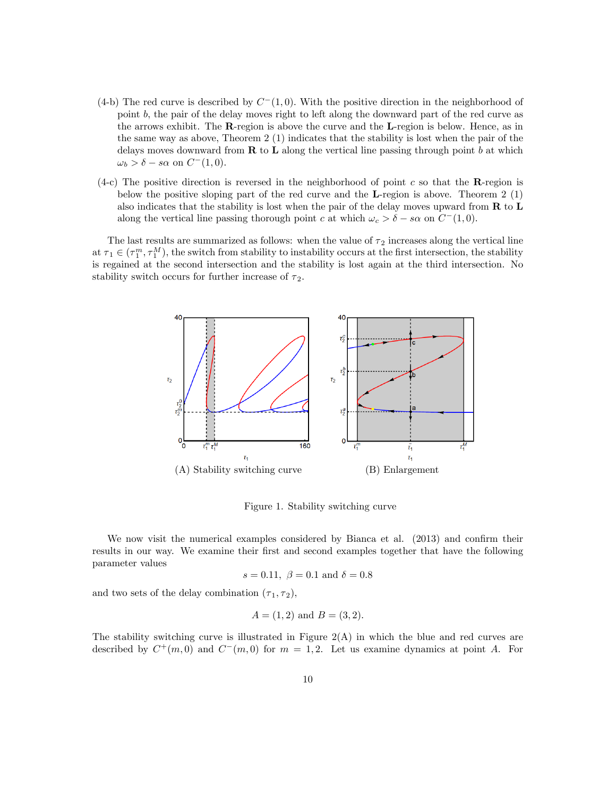- $(4-b)$  The red curve is described by  $C<sup>-</sup>(1,0)$ . With the positive direction in the neighborhood of point b, the pair of the delay moves right to left along the downward part of the red curve as the arrows exhibit. The R-region is above the curve and the L-region is below. Hence, as in the same way as above, Theorem 2 (1) indicates that the stability is lost when the pair of the delays moves downward from  $\bf{R}$  to  $\bf{L}$  along the vertical line passing through point b at which  $\omega_b > \delta - s\alpha$  on  $C^-(1,0)$ .
- (4-c) The positive direction is reversed in the neighborhood of point c so that the  $\bf R$ -region is below the positive sloping part of the red curve and the L-region is above. Theorem 2 (1) also indicates that the stability is lost when the pair of the delay moves upward from  $\bf{R}$  to  $\bf{L}$ along the vertical line passing thorough point c at which  $\omega_c > \delta - s\alpha$  on  $C^-(1,0)$ .

The last results are summarized as follows: when the value of  $\tau_2$  increases along the vertical line at  $\tau_1 \in (\tau_1^m, \tau_1^M)$ , the switch from stability to instability occurs at the first intersection, the stability is regained at the second intersection and the stability is lost again at the third intersection. No stability switch occurs for further increase of  $\tau_2$ .



Figure 1. Stability switching curve

We now visit the numerical examples considered by Bianca et al.  $(2013)$  and confirm their results in our way. We examine their first and second examples together that have the following parameter values

$$
s = 0.11
$$
,  $\beta = 0.1$  and  $\delta = 0.8$ 

and two sets of the delay combination  $(\tau_1, \tau_2)$ ,

$$
A = (1, 2)
$$
 and  $B = (3, 2)$ .

The stability switching curve is illustrated in Figure  $2(A)$  in which the blue and red curves are described by  $C^+(m,0)$  and  $C^-(m,0)$  for  $m=1,2$ . Let us examine dynamics at point A. For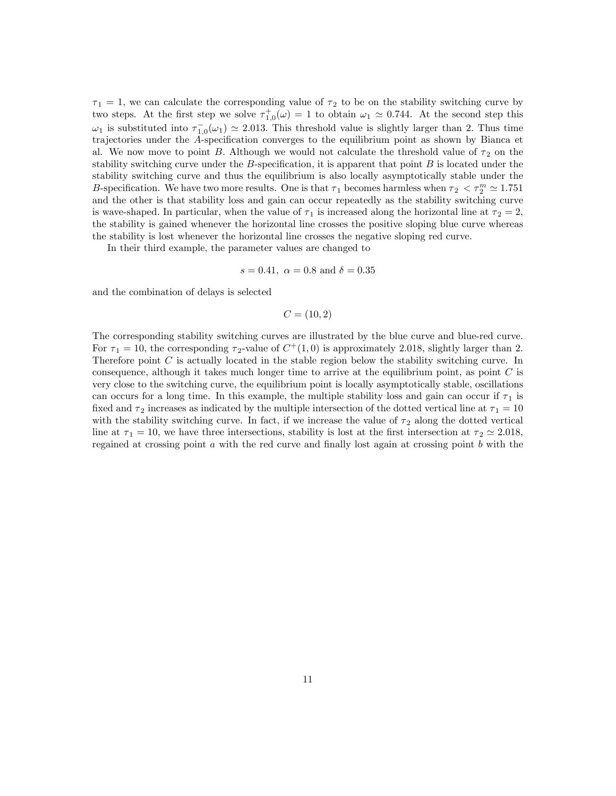$\tau_1 = 1$ , we can calculate the corresponding value of  $\tau_2$  to be on the stability switching curve by two steps. At the first step we solve  $\tau_{1,0}^{+}(\omega) = 1$  to obtain  $\omega_1 \simeq 0.744$ . At the second step this  $\omega_1$  is substituted into  $\tau_{1,0}^-(\omega_1) \simeq 2.013$ . This threshold value is slightly larger than 2. Thus time trajectories under the A-specification converges to the equilibrium point as shown by Bianca et al. We now move to point B. Although we would not calculate the threshold value of  $\tau_2$  on the stability switching curve under the B-specification, it is apparent that point  $B$  is located under the stability switching curve and thus the equilibrium is also locally asymptotically stable under the B-specification. We have two more results. One is that  $\tau_1$  becomes harmless when  $\tau_2 < \tau_2^m \simeq 1.751$ and the other is that stability loss and gain can occur repeatedly as the stability switching curve is wave-shaped. In particular, when the value of  $\tau_1$  is increased along the horizontal line at  $\tau_2 = 2$ , the stability is gained whenever the horizontal line crosses the positive sloping blue curve whereas the stability is lost whenever the horizontal line crosses the negative sloping red curve.

In their third example, the parameter values are changed to

$$
s = 0.41
$$
,  $\alpha = 0.8$  and  $\delta = 0.35$ 

and the combination of delays is selected

$$
C = (10, 2)
$$

The corresponding stability switching curves are illustrated by the blue curve and blue-red curve. For  $\tau_1 = 10$ , the corresponding  $\tau_2$ -value of  $C^+(1,0)$  is approximately 2.018, slightly larger than 2. Therefore point C is actually located in the stable region below the stability switching curve. In consequence, although it takes much longer time to arrive at the equilibrium point, as point  $C$  is very close to the switching curve, the equilibrium point is locally asymptotically stable, oscillations can occurs for a long time. In this example, the multiple stability loss and gain can occur if  $\tau_1$  is fixed and  $\tau_2$  increases as indicated by the multiple intersection of the dotted vertical line at  $\tau_1 = 10$ with the stability switching curve. In fact, if we increase the value of  $\tau_2$  along the dotted vertical line at  $\tau_1 = 10$ , we have three intersections, stability is lost at the first intersection at  $\tau_2 \simeq 2.018$ , regained at crossing point  $a$  with the red curve and finally lost again at crossing point  $b$  with the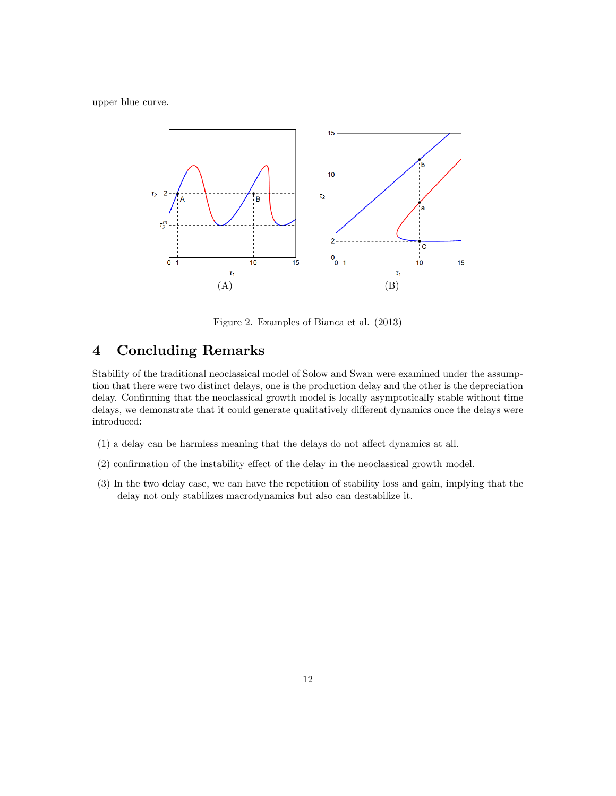upper blue curve.



Figure 2. Examples of Bianca et al. (2013)

## 4 Concluding Remarks

Stability of the traditional neoclassical model of Solow and Swan were examined under the assumption that there were two distinct delays, one is the production delay and the other is the depreciation delay. Confirming that the neoclassical growth model is locally asymptotically stable without time delays, we demonstrate that it could generate qualitatively different dynamics once the delays were introduced:

- $(1)$  a delay can be harmless meaning that the delays do not affect dynamics at all.
- $(2)$  confirmation of the instability effect of the delay in the neoclassical growth model.
- (3) In the two delay case, we can have the repetition of stability loss and gain, implying that the delay not only stabilizes macrodynamics but also can destabilize it.